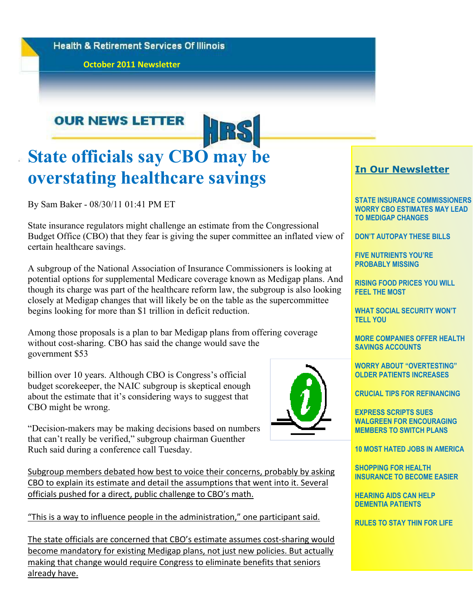**Health & Retirement Services Of Illinois** 

**October 2011 Newsletter**

### **OUR NEWS LETTER**

# **State officials say CBO may be overstating healthcare savings**

By Sam Baker - 08/30/11 01:41 PM ET

State insurance regulators might challenge an estimate from the Congressional Budget Office (CBO) that they fear is giving the super committee an inflated view of certain healthcare savings.

A subgroup of the National Association of Insurance Commissioners is looking at potential options for supplemental Medicare coverage known as Medigap plans. And though its charge was part of the healthcare reform law, the subgroup is also looking closely at Medigap changes that will likely be on the table as the supercommittee begins looking for more than \$1 trillion in deficit reduction.

Among those proposals is a plan to bar Medigap plans from offering coverage without cost-sharing. CBO has said the change would save the government \$53

billion over 10 years. Although CBO is Congress's official budget scorekeeper, the NAIC subgroup is skeptical enough about the estimate that it's considering ways to suggest that CBO might be wrong.



"Decision-makers may be making decisions based on numbers that can't really be verified," subgroup chairman Guenther Ruch said during a conference call Tuesday.

Subgroup members debated how best to voice their concerns, probably by asking CBO to explain its estimate and detail the assumptions that went into it. Several officials pushed for a direct, public challenge to CBO's math.

"This is a way to influence people in the administration," one participant said.

The state officials are concerned that CBO's estimate assumes cost-sharing would become mandatory for existing Medigap plans, not just new policies. But actually making that change would require Congress to eliminate benefits that seniors already have.

### **In Our Newsletter**

**STATE INSURANCE COMMISSIONERS WORRY CBO ESTIMATES MAY LEAD TO MEDIGAP CHANGES** 

**DON'T AUTOPAY THESE BILLS** 

**FIVE NUTRIENTS YOU'RE PROBABLY MISSING** 

**RISING FOOD PRICES YOU WILL FEEL THE MOST** 

**WHAT SOCIAL SECURITY WON'T TELL YOU** 

**MORE COMPANIES OFFER HEALTH SAVINGS ACCOUNTS** 

**WORRY ABOUT "OVERTESTING" OLDER PATIENTS INCREASES** 

**CRUCIAL TIPS FOR REFINANCING** 

**EXPRESS SCRIPTS SUES WALGREEN FOR ENCOURAGING MEMBERS TO SWITCH PLANS** 

**10 MOST HATED JOBS IN AMERICA** 

**SHOPPING FOR HEALTH INSURANCE TO BECOME EASIER** 

**HEARING AIDS CAN HELP DEMENTIA PATIENTS** 

**RULES TO STAY THIN FOR LIFE**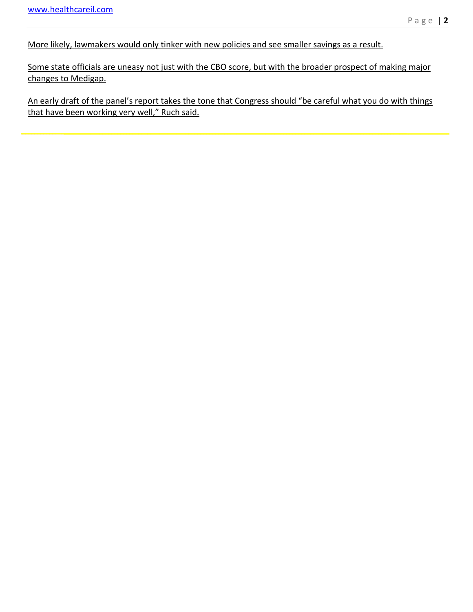### More likely, lawmakers would only tinker with new policies and see smaller savings as a result.

Some state officials are uneasy not just with the CBO score, but with the broader prospect of making major changes to Medigap.

An early draft of the panel's report takes the tone that Congress should "be careful what you do with things that have been working very well," Ruch said.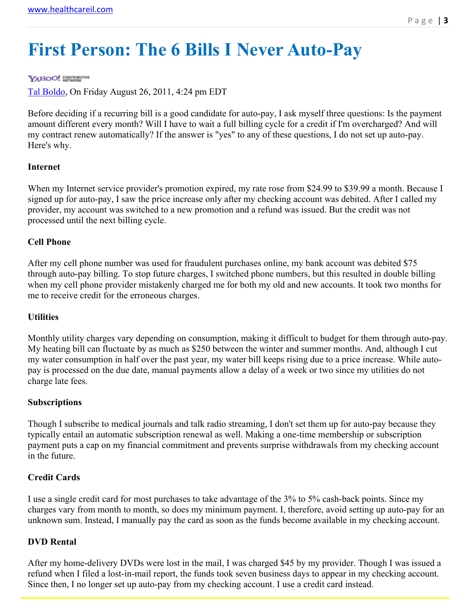# **First Person: The 6 Bills I Never Auto-Pay**

YAHOO! CONTRIBUTOR

Tal Boldo, On Friday August 26, 2011, 4:24 pm EDT

Before deciding if a recurring bill is a good candidate for auto-pay, I ask myself three questions: Is the payment amount different every month? Will I have to wait a full billing cycle for a credit if I'm overcharged? And will my contract renew automatically? If the answer is "yes" to any of these questions, I do not set up auto-pay. Here's why.

### **Internet**

When my Internet service provider's promotion expired, my rate rose from \$24.99 to \$39.99 a month. Because I signed up for auto-pay, I saw the price increase only after my checking account was debited. After I called my provider, my account was switched to a new promotion and a refund was issued. But the credit was not processed until the next billing cycle.

### **Cell Phone**

After my cell phone number was used for fraudulent purchases online, my bank account was debited \$75 through auto-pay billing. To stop future charges, I switched phone numbers, but this resulted in double billing when my cell phone provider mistakenly charged me for both my old and new accounts. It took two months for me to receive credit for the erroneous charges.

### **Utilities**

Monthly utility charges vary depending on consumption, making it difficult to budget for them through auto-pay. My heating bill can fluctuate by as much as \$250 between the winter and summer months. And, although I cut my water consumption in half over the past year, my water bill keeps rising due to a price increase. While autopay is processed on the due date, manual payments allow a delay of a week or two since my utilities do not charge late fees.

### **Subscriptions**

Though I subscribe to medical journals and talk radio streaming, I don't set them up for auto-pay because they typically entail an automatic subscription renewal as well. Making a one-time membership or subscription payment puts a cap on my financial commitment and prevents surprise withdrawals from my checking account in the future.

### **Credit Cards**

I use a single credit card for most purchases to take advantage of the 3% to 5% cash-back points. Since my charges vary from month to month, so does my minimum payment. I, therefore, avoid setting up auto-pay for an unknown sum. Instead, I manually pay the card as soon as the funds become available in my checking account.

### **DVD Rental**

After my home-delivery DVDs were lost in the mail, I was charged \$45 by my provider. Though I was issued a refund when I filed a lost-in-mail report, the funds took seven business days to appear in my checking account. Since then, I no longer set up auto-pay from my checking account. I use a credit card instead.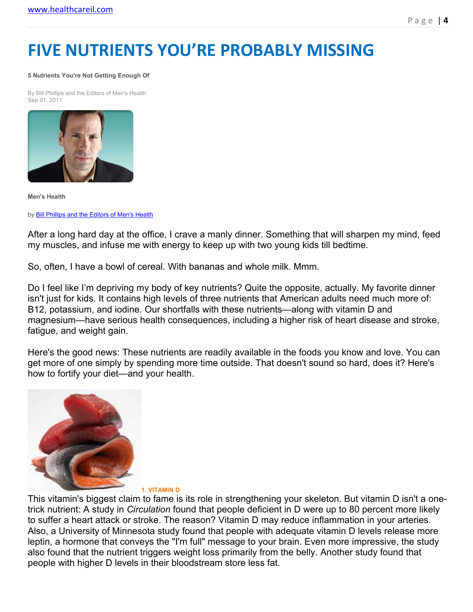## **FIVE NUTRIENTS YOU'RE PROBABLY MISSING**

#### **5 Nutrients You're Not Getting Enough Of**

By Bill Phillips and the Editors of Men's Health Sep 01, 2011



**Men's Health** 

by Bill Phillips and the Editors of Men's Health

After a long hard day at the office, I crave a manly dinner. Something that will sharpen my mind, feed my muscles, and infuse me with energy to keep up with two young kids till bedtime.

So, often, I have a bowl of cereal. With bananas and whole milk. Mmm.

Do I feel like I'm depriving my body of key nutrients? Quite the opposite, actually. My favorite dinner isn't just for kids. It contains high levels of three nutrients that American adults need much more of: B12, potassium, and iodine. Our shortfalls with these nutrients—along with vitamin D and magnesium—have serious health consequences, including a higher risk of heart disease and stroke, fatigue, and weight gain.

Here's the good news: These nutrients are readily available in the foods you know and love. You can get more of one simply by spending more time outside. That doesn't sound so hard, does it? Here's how to fortify your diet—and your health.



**1. VITAMIN D**

This vitamin's biggest claim to fame is its role in strengthening your skeleton. But vitamin D isn't a onetrick nutrient: A study in *Circulation* found that people deficient in D were up to 80 percent more likely to suffer a heart attack or stroke. The reason? Vitamin D may reduce inflammation in your arteries. Also, a University of Minnesota study found that people with adequate vitamin D levels release more leptin, a hormone that conveys the "I'm full" message to your brain. Even more impressive, the study also found that the nutrient triggers weight loss primarily from the belly. Another study found that people with higher D levels in their bloodstream store less fat.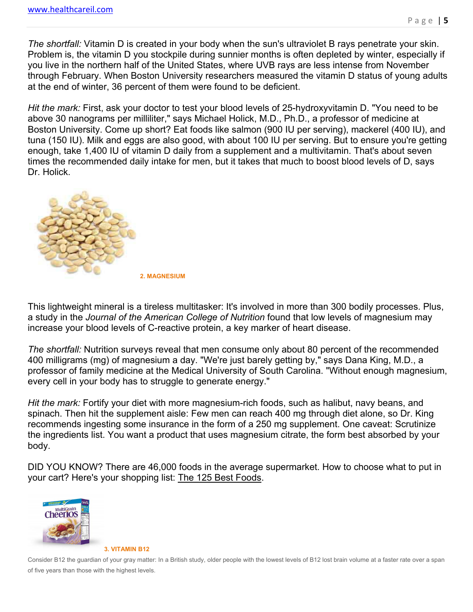*The shortfall:* Vitamin D is created in your body when the sun's ultraviolet B rays penetrate your skin. Problem is, the vitamin D you stockpile during sunnier months is often depleted by winter, especially if you live in the northern half of the United States, where UVB rays are less intense from November through February. When Boston University researchers measured the vitamin D status of young adults at the end of winter, 36 percent of them were found to be deficient.

*Hit the mark:* First, ask your doctor to test your blood levels of 25-hydroxyvitamin D. "You need to be above 30 nanograms per milliliter," says Michael Holick, M.D., Ph.D., a professor of medicine at Boston University. Come up short? Eat foods like salmon (900 IU per serving), mackerel (400 IU), and tuna (150 IU). Milk and eggs are also good, with about 100 IU per serving. But to ensure you're getting enough, take 1,400 IU of vitamin D daily from a supplement and a multivitamin. That's about seven times the recommended daily intake for men, but it takes that much to boost blood levels of D, says Dr. Holick.



**2. MAGNESIUM** 

This lightweight mineral is a tireless multitasker: It's involved in more than 300 bodily processes. Plus, a study in the *Journal of the American College of Nutrition* found that low levels of magnesium may increase your blood levels of C-reactive protein, a key marker of heart disease.

*The shortfall:* Nutrition surveys reveal that men consume only about 80 percent of the recommended 400 milligrams (mg) of magnesium a day. "We're just barely getting by," says Dana King, M.D., a professor of family medicine at the Medical University of South Carolina. "Without enough magnesium, every cell in your body has to struggle to generate energy."

*Hit the mark:* Fortify your diet with more magnesium-rich foods, such as halibut, navy beans, and spinach. Then hit the supplement aisle: Few men can reach 400 mg through diet alone, so Dr. King recommends ingesting some insurance in the form of a 250 mg supplement. One caveat: Scrutinize the ingredients list. You want a product that uses magnesium citrate, the form best absorbed by your body.

DID YOU KNOW? There are 46,000 foods in the average supermarket. How to choose what to put in your cart? Here's your shopping list: The 125 Best Foods.



#### **3. VITAMIN B12**

Consider B12 the guardian of your gray matter: In a British study, older people with the lowest levels of B12 lost brain volume at a faster rate over a span of five years than those with the highest levels.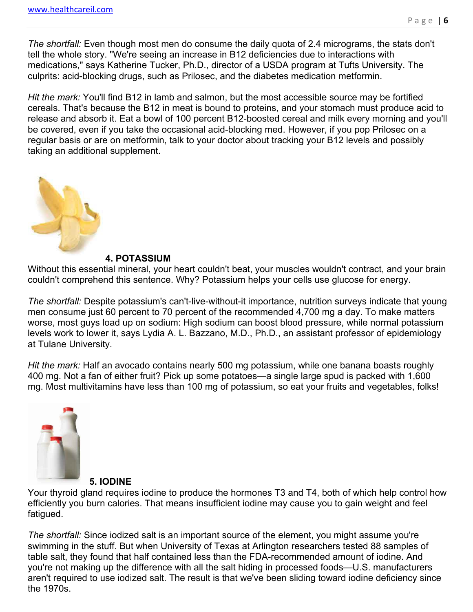*The shortfall:* Even though most men do consume the daily quota of 2.4 micrograms, the stats don't tell the whole story. "We're seeing an increase in B12 deficiencies due to interactions with medications," says Katherine Tucker, Ph.D., director of a USDA program at Tufts University. The culprits: acid-blocking drugs, such as Prilosec, and the diabetes medication metformin.

*Hit the mark:* You'll find B12 in lamb and salmon, but the most accessible source may be fortified cereals. That's because the B12 in meat is bound to proteins, and your stomach must produce acid to release and absorb it. Eat a bowl of 100 percent B12-boosted cereal and milk every morning and you'll be covered, even if you take the occasional acid-blocking med. However, if you pop Prilosec on a regular basis or are on metformin, talk to your doctor about tracking your B12 levels and possibly taking an additional supplement.



### **4. POTASSIUM**

Without this essential mineral, your heart couldn't beat, your muscles wouldn't contract, and your brain couldn't comprehend this sentence. Why? Potassium helps your cells use glucose for energy.

*The shortfall:* Despite potassium's can't-live-without-it importance, nutrition surveys indicate that young men consume just 60 percent to 70 percent of the recommended 4,700 mg a day. To make matters worse, most guys load up on sodium: High sodium can boost blood pressure, while normal potassium levels work to lower it, says Lydia A. L. Bazzano, M.D., Ph.D., an assistant professor of epidemiology at Tulane University.

*Hit the mark:* Half an avocado contains nearly 500 mg potassium, while one banana boasts roughly 400 mg. Not a fan of either fruit? Pick up some potatoes—a single large spud is packed with 1,600 mg. Most multivitamins have less than 100 mg of potassium, so eat your fruits and vegetables, folks!



### **5. IODINE**

Your thyroid gland requires iodine to produce the hormones T3 and T4, both of which help control how efficiently you burn calories. That means insufficient iodine may cause you to gain weight and feel fatigued.

*The shortfall:* Since iodized salt is an important source of the element, you might assume you're swimming in the stuff. But when University of Texas at Arlington researchers tested 88 samples of table salt, they found that half contained less than the FDA-recommended amount of iodine. And you're not making up the difference with all the salt hiding in processed foods—U.S. manufacturers aren't required to use iodized salt. The result is that we've been sliding toward iodine deficiency since the 1970s.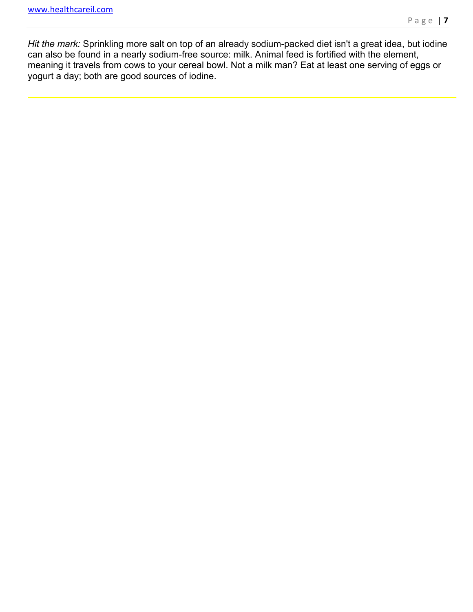*Hit the mark:* Sprinkling more salt on top of an already sodium-packed diet isn't a great idea, but iodine can also be found in a nearly sodium-free source: milk. Animal feed is fortified with the element, meaning it travels from cows to your cereal bowl. Not a milk man? Eat at least one serving of eggs or yogurt a day; both are good sources of iodine.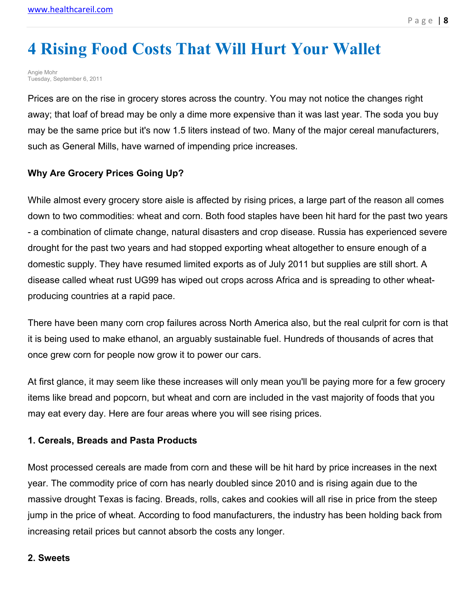# **4 Rising Food Costs That Will Hurt Your Wallet**

Angie Mohr Tuesday, September 6, 2011

Prices are on the rise in grocery stores across the country. You may not notice the changes right away; that loaf of bread may be only a dime more expensive than it was last year. The soda you buy may be the same price but it's now 1.5 liters instead of two. Many of the major cereal manufacturers, such as General Mills, have warned of impending price increases.

### **Why Are Grocery Prices Going Up?**

While almost every grocery store aisle is affected by rising prices, a large part of the reason all comes down to two commodities: wheat and corn. Both food staples have been hit hard for the past two years - a combination of climate change, natural disasters and crop disease. Russia has experienced severe drought for the past two years and had stopped exporting wheat altogether to ensure enough of a domestic supply. They have resumed limited exports as of July 2011 but supplies are still short. A disease called wheat rust UG99 has wiped out crops across Africa and is spreading to other wheatproducing countries at a rapid pace.

There have been many corn crop failures across North America also, but the real culprit for corn is that it is being used to make ethanol, an arguably sustainable fuel. Hundreds of thousands of acres that once grew corn for people now grow it to power our cars.

At first glance, it may seem like these increases will only mean you'll be paying more for a few grocery items like bread and popcorn, but wheat and corn are included in the vast majority of foods that you may eat every day. Here are four areas where you will see rising prices.

### **1. Cereals, Breads and Pasta Products**

Most processed cereals are made from corn and these will be hit hard by price increases in the next year. The commodity price of corn has nearly doubled since 2010 and is rising again due to the massive drought Texas is facing. Breads, rolls, cakes and cookies will all rise in price from the steep jump in the price of wheat. According to food manufacturers, the industry has been holding back from increasing retail prices but cannot absorb the costs any longer.

### **2. Sweets**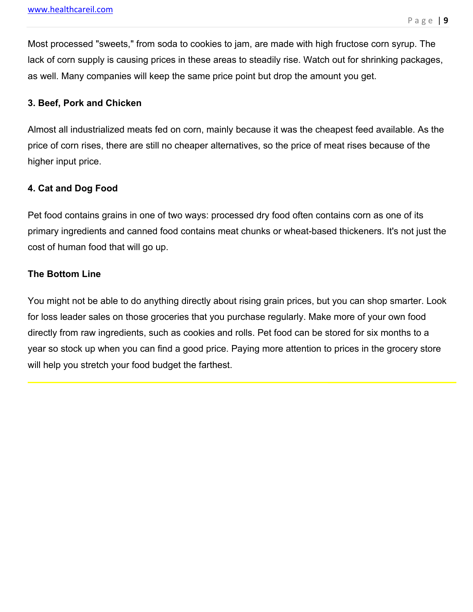Most processed "sweets," from soda to cookies to jam, are made with high fructose corn syrup. The lack of corn supply is causing prices in these areas to steadily rise. Watch out for shrinking packages, as well. Many companies will keep the same price point but drop the amount you get.

### **3. Beef, Pork and Chicken**

Almost all industrialized meats fed on corn, mainly because it was the cheapest feed available. As the price of corn rises, there are still no cheaper alternatives, so the price of meat rises because of the higher input price.

### **4. Cat and Dog Food**

Pet food contains grains in one of two ways: processed dry food often contains corn as one of its primary ingredients and canned food contains meat chunks or wheat-based thickeners. It's not just the cost of human food that will go up.

### **The Bottom Line**

You might not be able to do anything directly about rising grain prices, but you can shop smarter. Look for loss leader sales on those groceries that you purchase regularly. Make more of your own food directly from raw ingredients, such as cookies and rolls. Pet food can be stored for six months to a year so stock up when you can find a good price. Paying more attention to prices in the grocery store will help you stretch your food budget the farthest.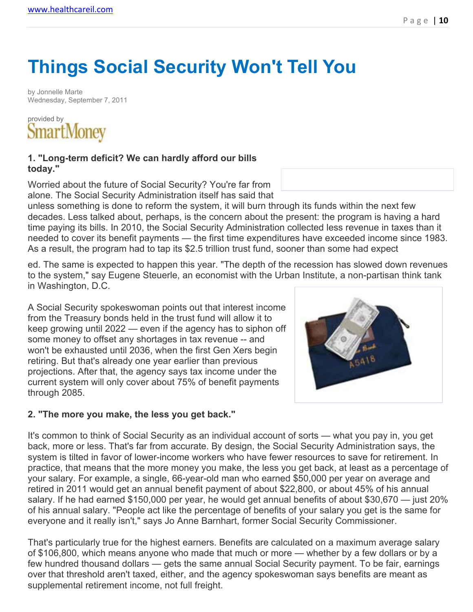# **Things Social Security Won't Tell You**

by Jonnelle Marte Wednesday, September 7, 2011

provided by **SmartMoney** 

### **1. "Long-term deficit? We can hardly afford our bills today."**

Worried about the future of Social Security? You're far from alone. The Social Security Administration itself has said that

unless something is done to reform the system, it will burn through its funds within the next few decades. Less talked about, perhaps, is the concern about the present: the program is having a hard time paying its bills. In 2010, the Social Security Administration collected less revenue in taxes than it needed to cover its benefit payments — the first time expenditures have exceeded income since 1983. As a result, the program had to tap its \$2.5 trillion trust fund, sooner than some had expect

ed. The same is expected to happen this year. "The depth of the recession has slowed down revenues to the system," say Eugene Steuerle, an economist with the Urban Institute, a non-partisan think tank in Washington, D.C.

A Social Security spokeswoman points out that interest income from the Treasury bonds held in the trust fund will allow it to keep growing until 2022 — even if the agency has to siphon off some money to offset any shortages in tax revenue -- and won't be exhausted until 2036, when the first Gen Xers begin retiring. But that's already one year earlier than previous projections. After that, the agency says tax income under the current system will only cover about 75% of benefit payments through 2085.

### **2. "The more you make, the less you get back."**



That's particularly true for the highest earners. Benefits are calculated on a maximum average salary of \$106,800, which means anyone who made that much or more — whether by a few dollars or by a few hundred thousand dollars — gets the same annual Social Security payment. To be fair, earnings over that threshold aren't taxed, either, and the agency spokeswoman says benefits are meant as supplemental retirement income, not full freight.



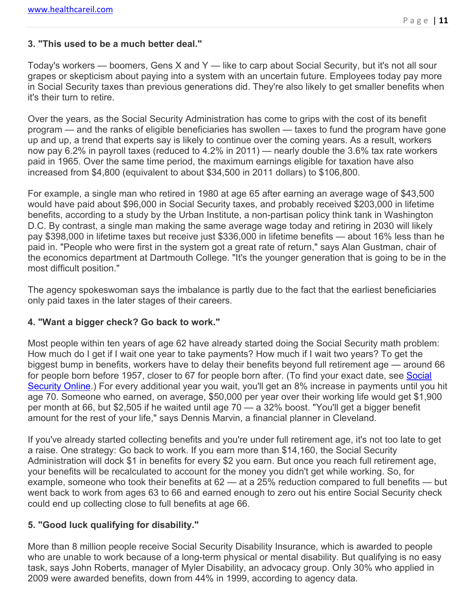### **3. "This used to be a much better deal."**

Today's workers — boomers, Gens X and Y — like to carp about Social Security, but it's not all sour grapes or skepticism about paying into a system with an uncertain future. Employees today pay more in Social Security taxes than previous generations did. They're also likely to get smaller benefits when it's their turn to retire.

Over the years, as the Social Security Administration has come to grips with the cost of its benefit program — and the ranks of eligible beneficiaries has swollen — taxes to fund the program have gone up and up, a trend that experts say is likely to continue over the coming years. As a result, workers now pay 6.2% in payroll taxes (reduced to 4.2% in 2011) — nearly double the 3.6% tax rate workers paid in 1965. Over the same time period, the maximum earnings eligible for taxation have also increased from \$4,800 (equivalent to about \$34,500 in 2011 dollars) to \$106,800.

For example, a single man who retired in 1980 at age 65 after earning an average wage of \$43,500 would have paid about \$96,000 in Social Security taxes, and probably received \$203,000 in lifetime benefits, according to a study by the Urban Institute, a non-partisan policy think tank in Washington D.C. By contrast, a single man making the same average wage today and retiring in 2030 will likely pay \$398,000 in lifetime taxes but receive just \$336,000 in lifetime benefits — about 16% less than he paid in. "People who were first in the system got a great rate of return," says Alan Gustman, chair of the economics department at Dartmouth College. "It's the younger generation that is going to be in the most difficult position."

The agency spokeswoman says the imbalance is partly due to the fact that the earliest beneficiaries only paid taxes in the later stages of their careers.

### **4. "Want a bigger check? Go back to work."**

Most people within ten years of age 62 have already started doing the Social Security math problem: How much do I get if I wait one year to take payments? How much if I wait two years? To get the biggest bump in benefits, workers have to delay their benefits beyond full retirement age — around 66 for people born before 1957, closer to 67 for people born after. (To find your exact date, see Social Security Online.) For every additional year you wait, you'll get an 8% increase in payments until you hit age 70. Someone who earned, on average, \$50,000 per year over their working life would get \$1,900 per month at 66, but \$2,505 if he waited until age 70 — a 32% boost. "You'll get a bigger benefit amount for the rest of your life," says Dennis Marvin, a financial planner in Cleveland.

If you've already started collecting benefits and you're under full retirement age, it's not too late to get a raise. One strategy: Go back to work. If you earn more than \$14,160, the Social Security Administration will dock \$1 in benefits for every \$2 you earn. But once you reach full retirement age, your benefits will be recalculated to account for the money you didn't get while working. So, for example, someone who took their benefits at 62 — at a 25% reduction compared to full benefits — but went back to work from ages 63 to 66 and earned enough to zero out his entire Social Security check could end up collecting close to full benefits at age 66.

### **5. "Good luck qualifying for disability."**

More than 8 million people receive Social Security Disability Insurance, which is awarded to people who are unable to work because of a long-term physical or mental disability. But qualifying is no easy task, says John Roberts, manager of Myler Disability, an advocacy group. Only 30% who applied in 2009 were awarded benefits, down from 44% in 1999, according to agency data.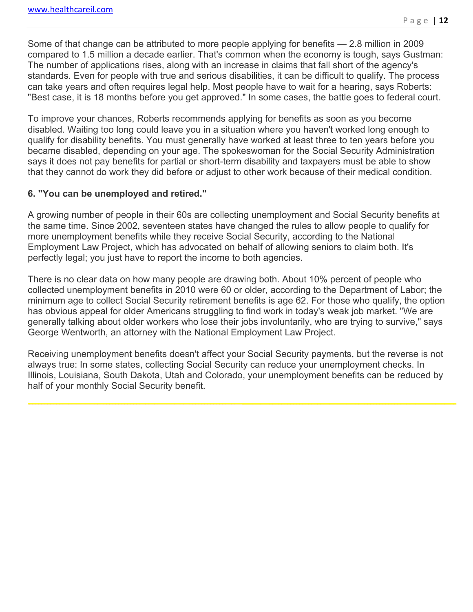Some of that change can be attributed to more people applying for benefits — 2.8 million in 2009 compared to 1.5 million a decade earlier. That's common when the economy is tough, says Gustman: The number of applications rises, along with an increase in claims that fall short of the agency's standards. Even for people with true and serious disabilities, it can be difficult to qualify. The process can take years and often requires legal help. Most people have to wait for a hearing, says Roberts: "Best case, it is 18 months before you get approved." In some cases, the battle goes to federal court.

To improve your chances, Roberts recommends applying for benefits as soon as you become disabled. Waiting too long could leave you in a situation where you haven't worked long enough to qualify for disability benefits. You must generally have worked at least three to ten years before you became disabled, depending on your age. The spokeswoman for the Social Security Administration says it does not pay benefits for partial or short-term disability and taxpayers must be able to show that they cannot do work they did before or adjust to other work because of their medical condition.

### **6. "You can be unemployed and retired."**

A growing number of people in their 60s are collecting unemployment and Social Security benefits at the same time. Since 2002, seventeen states have changed the rules to allow people to qualify for more unemployment benefits while they receive Social Security, according to the National Employment Law Project, which has advocated on behalf of allowing seniors to claim both. It's perfectly legal; you just have to report the income to both agencies.

There is no clear data on how many people are drawing both. About 10% percent of people who collected unemployment benefits in 2010 were 60 or older, according to the Department of Labor; the minimum age to collect Social Security retirement benefits is age 62. For those who qualify, the option has obvious appeal for older Americans struggling to find work in today's weak job market. "We are generally talking about older workers who lose their jobs involuntarily, who are trying to survive," says George Wentworth, an attorney with the National Employment Law Project.

Receiving unemployment benefits doesn't affect your Social Security payments, but the reverse is not always true: In some states, collecting Social Security can reduce your unemployment checks. In Illinois, Louisiana, South Dakota, Utah and Colorado, your unemployment benefits can be reduced by half of your monthly Social Security benefit.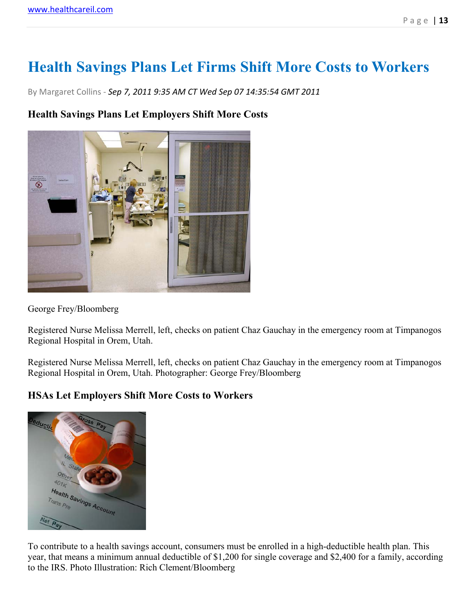## **Health Savings Plans Let Firms Shift More Costs to Workers**

By Margaret Collins ‐ *Sep 7, 2011 9:35 AM CT Wed Sep 07 14:35:54 GMT 2011*

### **Health Savings Plans Let Employers Shift More Costs**



George Frey/Bloomberg

Registered Nurse Melissa Merrell, left, checks on patient Chaz Gauchay in the emergency room at Timpanogos Regional Hospital in Orem, Utah.

Registered Nurse Melissa Merrell, left, checks on patient Chaz Gauchay in the emergency room at Timpanogos Regional Hospital in Orem, Utah. Photographer: George Frey/Bloomberg

### **HSAs Let Employers Shift More Costs to Workers**



To contribute to a health savings account, consumers must be enrolled in a high-deductible health plan. This year, that means a minimum annual deductible of \$1,200 for single coverage and \$2,400 for a family, according to the IRS. Photo Illustration: Rich Clement/Bloomberg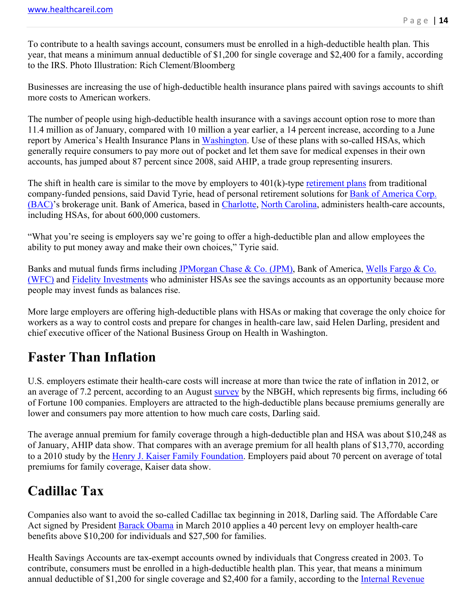To contribute to a health savings account, consumers must be enrolled in a high-deductible health plan. This year, that means a minimum annual deductible of \$1,200 for single coverage and \$2,400 for a family, according to the IRS. Photo Illustration: Rich Clement/Bloomberg

Businesses are increasing the use of high-deductible health insurance plans paired with savings accounts to shift more costs to American workers.

The number of people using high-deductible health insurance with a savings account option rose to more than 11.4 million as of January, compared with 10 million a year earlier, a 14 percent increase, according to a June report by America's Health Insurance Plans in Washington. Use of these plans with so-called HSAs, which generally require consumers to pay more out of pocket and let them save for medical expenses in their own accounts, has jumped about 87 percent since 2008, said AHIP, a trade group representing insurers.

The shift in health care is similar to the move by employers to 401(k)-type retirement plans from traditional company-funded pensions, said David Tyrie, head of personal retirement solutions for Bank of America Corp. (BAC)'s brokerage unit. Bank of America, based in Charlotte, North Carolina, administers health-care accounts, including HSAs, for about 600,000 customers.

"What you're seeing is employers say we're going to offer a high-deductible plan and allow employees the ability to put money away and make their own choices," Tyrie said.

Banks and mutual funds firms including JPMorgan Chase & Co. (JPM), Bank of America, Wells Fargo & Co. (WFC) and Fidelity Investments who administer HSAs see the savings accounts as an opportunity because more people may invest funds as balances rise.

More large employers are offering high-deductible plans with HSAs or making that coverage the only choice for workers as a way to control costs and prepare for changes in health-care law, said Helen Darling, president and chief executive officer of the National Business Group on Health in Washington.

## **Faster Than Inflation**

U.S. employers estimate their health-care costs will increase at more than twice the rate of inflation in 2012, or an average of 7.2 percent, according to an August survey by the NBGH, which represents big firms, including 66 of Fortune 100 companies. Employers are attracted to the high-deductible plans because premiums generally are lower and consumers pay more attention to how much care costs, Darling said.

The average annual premium for family coverage through a high-deductible plan and HSA was about \$10,248 as of January, AHIP data show. That compares with an average premium for all health plans of \$13,770, according to a 2010 study by the Henry J. Kaiser Family Foundation. Employers paid about 70 percent on average of total premiums for family coverage, Kaiser data show.

## **Cadillac Tax**

Companies also want to avoid the so-called Cadillac tax beginning in 2018, Darling said. The Affordable Care Act signed by President Barack Obama in March 2010 applies a 40 percent levy on employer health-care benefits above \$10,200 for individuals and \$27,500 for families.

Health Savings Accounts are tax-exempt accounts owned by individuals that Congress created in 2003. To contribute, consumers must be enrolled in a high-deductible health plan. This year, that means a minimum annual deductible of \$1,200 for single coverage and \$2,400 for a family, according to the Internal Revenue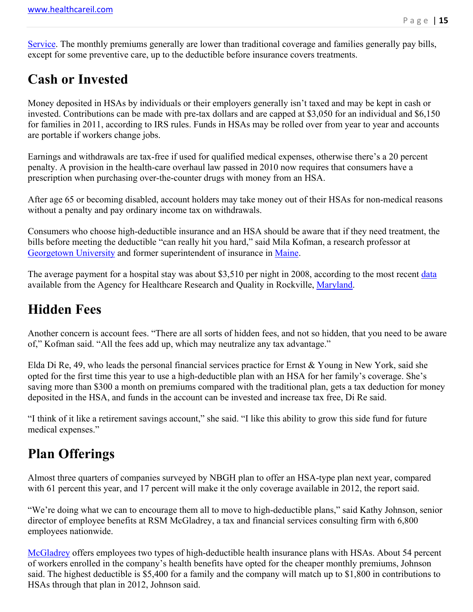Service. The monthly premiums generally are lower than traditional coverage and families generally pay bills, except for some preventive care, up to the deductible before insurance covers treatments.

## **Cash or Invested**

Money deposited in HSAs by individuals or their employers generally isn't taxed and may be kept in cash or invested. Contributions can be made with pre-tax dollars and are capped at \$3,050 for an individual and \$6,150 for families in 2011, according to IRS rules. Funds in HSAs may be rolled over from year to year and accounts are portable if workers change jobs.

Earnings and withdrawals are tax-free if used for qualified medical expenses, otherwise there's a 20 percent penalty. A provision in the health-care overhaul law passed in 2010 now requires that consumers have a prescription when purchasing over-the-counter drugs with money from an HSA.

After age 65 or becoming disabled, account holders may take money out of their HSAs for non-medical reasons without a penalty and pay ordinary income tax on withdrawals.

Consumers who choose high-deductible insurance and an HSA should be aware that if they need treatment, the bills before meeting the deductible "can really hit you hard," said Mila Kofman, a research professor at Georgetown University and former superintendent of insurance in Maine.

The average payment for a hospital stay was about \$3,510 per night in 2008, according to the most recent data available from the Agency for Healthcare Research and Quality in Rockville, Maryland.

## **Hidden Fees**

Another concern is account fees. "There are all sorts of hidden fees, and not so hidden, that you need to be aware of," Kofman said. "All the fees add up, which may neutralize any tax advantage."

Elda Di Re, 49, who leads the personal financial services practice for Ernst & Young in New York, said she opted for the first time this year to use a high-deductible plan with an HSA for her family's coverage. She's saving more than \$300 a month on premiums compared with the traditional plan, gets a tax deduction for money deposited in the HSA, and funds in the account can be invested and increase tax free, Di Re said.

"I think of it like a retirement savings account," she said. "I like this ability to grow this side fund for future medical expenses."

## **Plan Offerings**

Almost three quarters of companies surveyed by NBGH plan to offer an HSA-type plan next year, compared with 61 percent this year, and 17 percent will make it the only coverage available in 2012, the report said.

"We're doing what we can to encourage them all to move to high-deductible plans," said Kathy Johnson, senior director of employee benefits at RSM McGladrey, a tax and financial services consulting firm with 6,800 employees nationwide.

McGladrey offers employees two types of high-deductible health insurance plans with HSAs. About 54 percent of workers enrolled in the company's health benefits have opted for the cheaper monthly premiums, Johnson said. The highest deductible is \$5,400 for a family and the company will match up to \$1,800 in contributions to HSAs through that plan in 2012, Johnson said.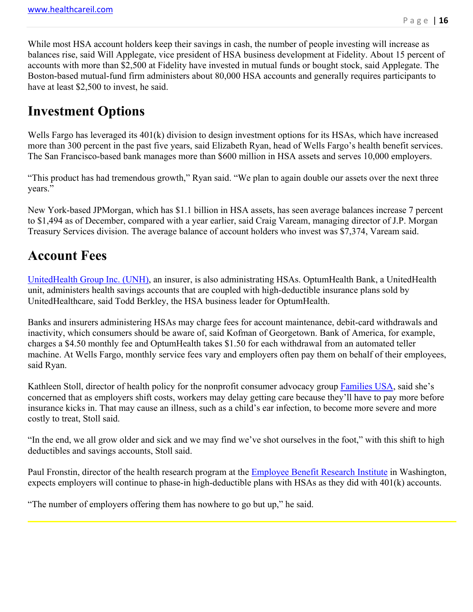While most HSA account holders keep their savings in cash, the number of people investing will increase as balances rise, said Will Applegate, vice president of HSA business development at Fidelity. About 15 percent of accounts with more than \$2,500 at Fidelity have invested in mutual funds or bought stock, said Applegate. The Boston-based mutual-fund firm administers about 80,000 HSA accounts and generally requires participants to have at least \$2,500 to invest, he said.

### **Investment Options**

Wells Fargo has leveraged its 401(k) division to design investment options for its HSAs, which have increased more than 300 percent in the past five years, said Elizabeth Ryan, head of Wells Fargo's health benefit services. The San Francisco-based bank manages more than \$600 million in HSA assets and serves 10,000 employers.

"This product has had tremendous growth," Ryan said. "We plan to again double our assets over the next three years."

New York-based JPMorgan, which has \$1.1 billion in HSA assets, has seen average balances increase 7 percent to \$1,494 as of December, compared with a year earlier, said Craig Vaream, managing director of J.P. Morgan Treasury Services division. The average balance of account holders who invest was \$7,374, Vaream said.

### **Account Fees**

UnitedHealth Group Inc. (UNH), an insurer, is also administrating HSAs. OptumHealth Bank, a UnitedHealth unit, administers health savings accounts that are coupled with high-deductible insurance plans sold by UnitedHealthcare, said Todd Berkley, the HSA business leader for OptumHealth.

Banks and insurers administering HSAs may charge fees for account maintenance, debit-card withdrawals and inactivity, which consumers should be aware of, said Kofman of Georgetown. Bank of America, for example, charges a \$4.50 monthly fee and OptumHealth takes \$1.50 for each withdrawal from an automated teller machine. At Wells Fargo, monthly service fees vary and employers often pay them on behalf of their employees, said Ryan.

Kathleen Stoll, director of health policy for the nonprofit consumer advocacy group Families USA, said she's concerned that as employers shift costs, workers may delay getting care because they'll have to pay more before insurance kicks in. That may cause an illness, such as a child's ear infection, to become more severe and more costly to treat, Stoll said.

"In the end, we all grow older and sick and we may find we've shot ourselves in the foot," with this shift to high deductibles and savings accounts, Stoll said.

Paul Fronstin, director of the health research program at the Employee Benefit Research Institute in Washington, expects employers will continue to phase-in high-deductible plans with HSAs as they did with 401(k) accounts.

"The number of employers offering them has nowhere to go but up," he said.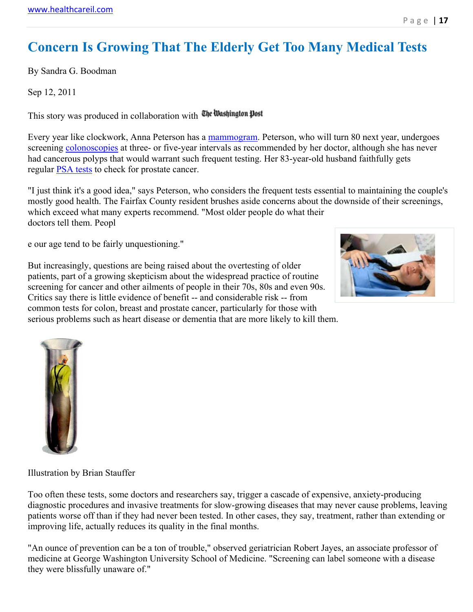## **Concern Is Growing That The Elderly Get Too Many Medical Tests**

By Sandra G. Boodman

Sep 12, 2011

This story was produced in collaboration with The Washington post

Every year like clockwork, Anna Peterson has a mammogram. Peterson, who will turn 80 next year, undergoes screening colonoscopies at three- or five-year intervals as recommended by her doctor, although she has never had cancerous polyps that would warrant such frequent testing. Her 83-year-old husband faithfully gets regular PSA tests to check for prostate cancer.

"I just think it's a good idea," says Peterson, who considers the frequent tests essential to maintaining the couple's mostly good health. The Fairfax County resident brushes aside concerns about the downside of their screenings, which exceed what many experts recommend. "Most older people do what their doctors tell them. Peopl

e our age tend to be fairly unquestioning."



But increasingly, questions are being raised about the overtesting of older patients, part of a growing skepticism about the widespread practice of routine screening for cancer and other ailments of people in their 70s, 80s and even 90s. Critics say there is little evidence of benefit -- and considerable risk -- from common tests for colon, breast and prostate cancer, particularly for those with serious problems such as heart disease or dementia that are more likely to kill them.



Illustration by Brian Stauffer

Too often these tests, some doctors and researchers say, trigger a cascade of expensive, anxiety-producing diagnostic procedures and invasive treatments for slow-growing diseases that may never cause problems, leaving patients worse off than if they had never been tested. In other cases, they say, treatment, rather than extending or improving life, actually reduces its quality in the final months.

"An ounce of prevention can be a ton of trouble," observed geriatrician Robert Jayes, an associate professor of medicine at George Washington University School of Medicine. "Screening can label someone with a disease they were blissfully unaware of."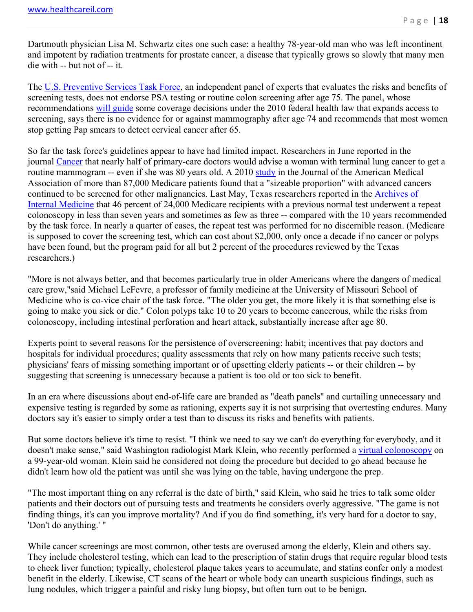Dartmouth physician Lisa M. Schwartz cites one such case: a healthy 78-year-old man who was left incontinent and impotent by radiation treatments for prostate cancer, a disease that typically grows so slowly that many men die with -- but not of -- it.

The U.S. Preventive Services Task Force, an independent panel of experts that evaluates the risks and benefits of screening tests, does not endorse PSA testing or routine colon screening after age 75. The panel, whose recommendations will guide some coverage decisions under the 2010 federal health law that expands access to screening, says there is no evidence for or against mammography after age 74 and recommends that most women stop getting Pap smears to detect cervical cancer after 65.

So far the task force's guidelines appear to have had limited impact. Researchers in June reported in the journal Cancer that nearly half of primary-care doctors would advise a woman with terminal lung cancer to get a routine mammogram -- even if she was 80 years old. A 2010 study in the Journal of the American Medical Association of more than 87,000 Medicare patients found that a "sizeable proportion" with advanced cancers continued to be screened for other malignancies. Last May, Texas researchers reported in the Archives of Internal Medicine that 46 percent of 24,000 Medicare recipients with a previous normal test underwent a repeat colonoscopy in less than seven years and sometimes as few as three -- compared with the 10 years recommended by the task force. In nearly a quarter of cases, the repeat test was performed for no discernible reason. (Medicare is supposed to cover the screening test, which can cost about \$2,000, only once a decade if no cancer or polyps have been found, but the program paid for all but 2 percent of the procedures reviewed by the Texas researchers.)

"More is not always better, and that becomes particularly true in older Americans where the dangers of medical care grow,"said Michael LeFevre, a professor of family medicine at the University of Missouri School of Medicine who is co-vice chair of the task force. "The older you get, the more likely it is that something else is going to make you sick or die." Colon polyps take 10 to 20 years to become cancerous, while the risks from colonoscopy, including intestinal perforation and heart attack, substantially increase after age 80.

Experts point to several reasons for the persistence of overscreening: habit; incentives that pay doctors and hospitals for individual procedures; quality assessments that rely on how many patients receive such tests; physicians' fears of missing something important or of upsetting elderly patients -- or their children -- by suggesting that screening is unnecessary because a patient is too old or too sick to benefit.

In an era where discussions about end-of-life care are branded as "death panels" and curtailing unnecessary and expensive testing is regarded by some as rationing, experts say it is not surprising that overtesting endures. Many doctors say it's easier to simply order a test than to discuss its risks and benefits with patients.

But some doctors believe it's time to resist. "I think we need to say we can't do everything for everybody, and it doesn't make sense," said Washington radiologist Mark Klein, who recently performed a virtual colonoscopy on a 99-year-old woman. Klein said he considered not doing the procedure but decided to go ahead because he didn't learn how old the patient was until she was lying on the table, having undergone the prep.

"The most important thing on any referral is the date of birth," said Klein, who said he tries to talk some older patients and their doctors out of pursuing tests and treatments he considers overly aggressive. "The game is not finding things, it's can you improve mortality? And if you do find something, it's very hard for a doctor to say, 'Don't do anything.' "

While cancer screenings are most common, other tests are overused among the elderly, Klein and others say. They include cholesterol testing, which can lead to the prescription of statin drugs that require regular blood tests to check liver function; typically, cholesterol plaque takes years to accumulate, and statins confer only a modest benefit in the elderly. Likewise, CT scans of the heart or whole body can unearth suspicious findings, such as lung nodules, which trigger a painful and risky lung biopsy, but often turn out to be benign.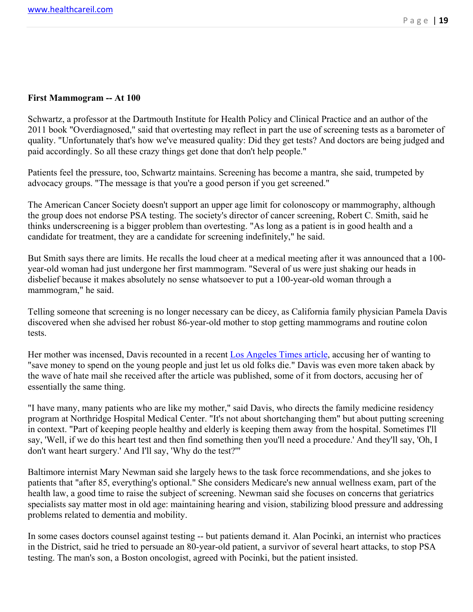### **First Mammogram -- At 100**

Schwartz, a professor at the Dartmouth Institute for Health Policy and Clinical Practice and an author of the 2011 book "Overdiagnosed," said that overtesting may reflect in part the use of screening tests as a barometer of quality. "Unfortunately that's how we've measured quality: Did they get tests? And doctors are being judged and paid accordingly. So all these crazy things get done that don't help people."

Patients feel the pressure, too, Schwartz maintains. Screening has become a mantra, she said, trumpeted by advocacy groups. "The message is that you're a good person if you get screened."

The American Cancer Society doesn't support an upper age limit for colonoscopy or mammography, although the group does not endorse PSA testing. The society's director of cancer screening, Robert C. Smith, said he thinks underscreening is a bigger problem than overtesting. "As long as a patient is in good health and a candidate for treatment, they are a candidate for screening indefinitely," he said.

But Smith says there are limits. He recalls the loud cheer at a medical meeting after it was announced that a 100 year-old woman had just undergone her first mammogram. "Several of us were just shaking our heads in disbelief because it makes absolutely no sense whatsoever to put a 100-year-old woman through a mammogram," he said.

Telling someone that screening is no longer necessary can be dicey, as California family physician Pamela Davis discovered when she advised her robust 86-year-old mother to stop getting mammograms and routine colon tests.

Her mother was incensed, Davis recounted in a recent Los Angeles Times article, accusing her of wanting to "save money to spend on the young people and just let us old folks die." Davis was even more taken aback by the wave of hate mail she received after the article was published, some of it from doctors, accusing her of essentially the same thing.

"I have many, many patients who are like my mother," said Davis, who directs the family medicine residency program at Northridge Hospital Medical Center. "It's not about shortchanging them" but about putting screening in context. "Part of keeping people healthy and elderly is keeping them away from the hospital. Sometimes I'll say, 'Well, if we do this heart test and then find something then you'll need a procedure.' And they'll say, 'Oh, I don't want heart surgery.' And I'll say, 'Why do the test?'"

Baltimore internist Mary Newman said she largely hews to the task force recommendations, and she jokes to patients that "after 85, everything's optional." She considers Medicare's new annual wellness exam, part of the health law, a good time to raise the subject of screening. Newman said she focuses on concerns that geriatrics specialists say matter most in old age: maintaining hearing and vision, stabilizing blood pressure and addressing problems related to dementia and mobility.

In some cases doctors counsel against testing -- but patients demand it. Alan Pocinki, an internist who practices in the District, said he tried to persuade an 80-year-old patient, a survivor of several heart attacks, to stop PSA testing. The man's son, a Boston oncologist, agreed with Pocinki, but the patient insisted.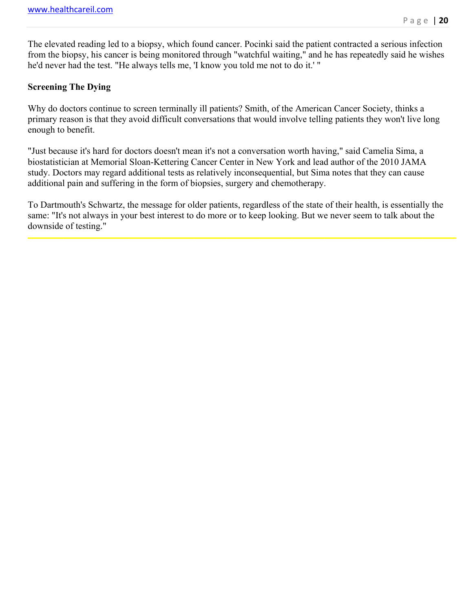The elevated reading led to a biopsy, which found cancer. Pocinki said the patient contracted a serious infection from the biopsy, his cancer is being monitored through "watchful waiting," and he has repeatedly said he wishes he'd never had the test. "He always tells me, 'I know you told me not to do it.' "

### **Screening The Dying**

Why do doctors continue to screen terminally ill patients? Smith, of the American Cancer Society, thinks a primary reason is that they avoid difficult conversations that would involve telling patients they won't live long enough to benefit.

"Just because it's hard for doctors doesn't mean it's not a conversation worth having," said Camelia Sima, a biostatistician at Memorial Sloan-Kettering Cancer Center in New York and lead author of the 2010 JAMA study. Doctors may regard additional tests as relatively inconsequential, but Sima notes that they can cause additional pain and suffering in the form of biopsies, surgery and chemotherapy.

To Dartmouth's Schwartz, the message for older patients, regardless of the state of their health, is essentially the same: "It's not always in your best interest to do more or to keep looking. But we never seem to talk about the downside of testing."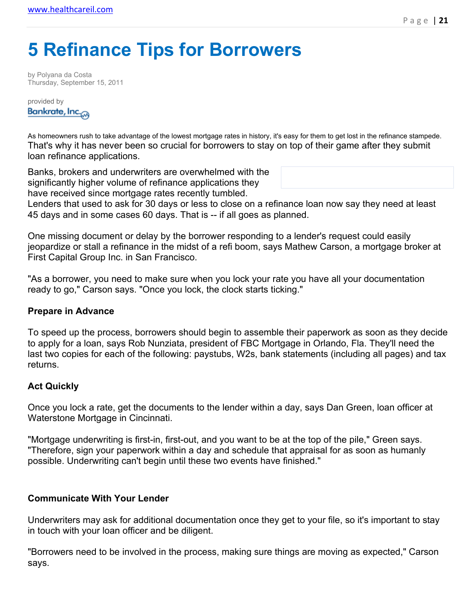# **5 Refinance Tips for Borrowers**

by Polyana da Costa Thursday, September 15, 2011

provided by Bankrate, Inc.<sub>60</sub>

As homeowners rush to take advantage of the lowest mortgage rates in history, it's easy for them to get lost in the refinance stampede. That's why it has never been so crucial for borrowers to stay on top of their game after they submit loan refinance applications.

Banks, brokers and underwriters are overwhelmed with the significantly higher volume of refinance applications they

have received since mortgage rates recently tumbled.

Lenders that used to ask for 30 days or less to close on a refinance loan now say they need at least 45 days and in some cases 60 days. That is -- if all goes as planned.

One missing document or delay by the borrower responding to a lender's request could easily jeopardize or stall a refinance in the midst of a refi boom, says Mathew Carson, a mortgage broker at First Capital Group Inc. in San Francisco.

"As a borrower, you need to make sure when you lock your rate you have all your documentation ready to go," Carson says. "Once you lock, the clock starts ticking."

### **Prepare in Advance**

To speed up the process, borrowers should begin to assemble their paperwork as soon as they decide to apply for a loan, says Rob Nunziata, president of FBC Mortgage in Orlando, Fla. They'll need the last two copies for each of the following: paystubs, W2s, bank statements (including all pages) and tax returns.

### **Act Quickly**

Once you lock a rate, get the documents to the lender within a day, says Dan Green, loan officer at Waterstone Mortgage in Cincinnati.

"Mortgage underwriting is first-in, first-out, and you want to be at the top of the pile," Green says. "Therefore, sign your paperwork within a day and schedule that appraisal for as soon as humanly possible. Underwriting can't begin until these two events have finished."

### **Communicate With Your Lender**

Underwriters may ask for additional documentation once they get to your file, so it's important to stay in touch with your loan officer and be diligent.

"Borrowers need to be involved in the process, making sure things are moving as expected," Carson says.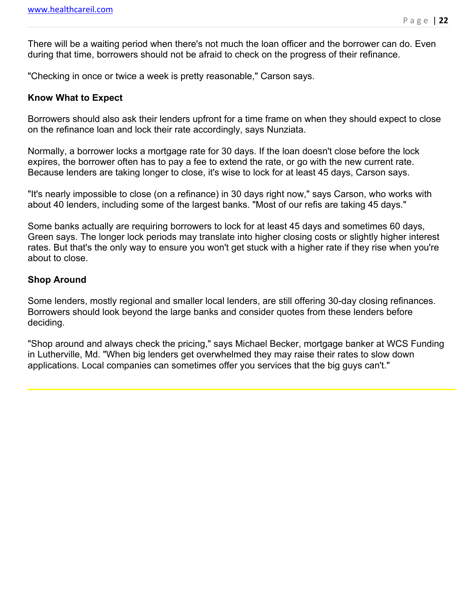There will be a waiting period when there's not much the loan officer and the borrower can do. Even during that time, borrowers should not be afraid to check on the progress of their refinance.

"Checking in once or twice a week is pretty reasonable," Carson says.

### **Know What to Expect**

Borrowers should also ask their lenders upfront for a time frame on when they should expect to close on the refinance loan and lock their rate accordingly, says Nunziata.

Normally, a borrower locks a mortgage rate for 30 days. If the loan doesn't close before the lock expires, the borrower often has to pay a fee to extend the rate, or go with the new current rate. Because lenders are taking longer to close, it's wise to lock for at least 45 days, Carson says.

"It's nearly impossible to close (on a refinance) in 30 days right now," says Carson, who works with about 40 lenders, including some of the largest banks. "Most of our refis are taking 45 days."

Some banks actually are requiring borrowers to lock for at least 45 days and sometimes 60 days, Green says. The longer lock periods may translate into higher closing costs or slightly higher interest rates. But that's the only way to ensure you won't get stuck with a higher rate if they rise when you're about to close.

### **Shop Around**

Some lenders, mostly regional and smaller local lenders, are still offering 30-day closing refinances. Borrowers should look beyond the large banks and consider quotes from these lenders before deciding.

"Shop around and always check the pricing," says Michael Becker, mortgage banker at WCS Funding in Lutherville, Md. "When big lenders get overwhelmed they may raise their rates to slow down applications. Local companies can sometimes offer you services that the big guys can't."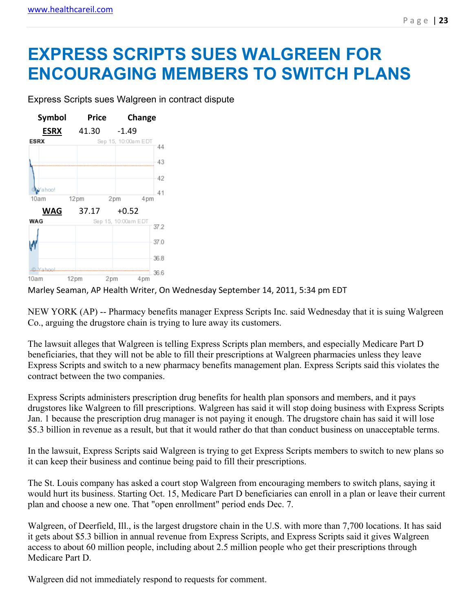## **EXPRESS SCRIPTS SUES WALGREEN FOR ENCOURAGING MEMBERS TO SWITCH PLANS**

Express Scripts sues Walgreen in contract dispute



Marley Seaman, AP Health Writer, On Wednesday September 14, 2011, 5:34 pm EDT

NEW YORK (AP) -- Pharmacy benefits manager Express Scripts Inc. said Wednesday that it is suing Walgreen Co., arguing the drugstore chain is trying to lure away its customers.

The lawsuit alleges that Walgreen is telling Express Scripts plan members, and especially Medicare Part D beneficiaries, that they will not be able to fill their prescriptions at Walgreen pharmacies unless they leave Express Scripts and switch to a new pharmacy benefits management plan. Express Scripts said this violates the contract between the two companies.

Express Scripts administers prescription drug benefits for health plan sponsors and members, and it pays drugstores like Walgreen to fill prescriptions. Walgreen has said it will stop doing business with Express Scripts Jan. 1 because the prescription drug manager is not paying it enough. The drugstore chain has said it will lose \$5.3 billion in revenue as a result, but that it would rather do that than conduct business on unacceptable terms.

In the lawsuit, Express Scripts said Walgreen is trying to get Express Scripts members to switch to new plans so it can keep their business and continue being paid to fill their prescriptions.

The St. Louis company has asked a court stop Walgreen from encouraging members to switch plans, saying it would hurt its business. Starting Oct. 15, Medicare Part D beneficiaries can enroll in a plan or leave their current plan and choose a new one. That "open enrollment" period ends Dec. 7.

Walgreen, of Deerfield, Ill., is the largest drugstore chain in the U.S. with more than 7,700 locations. It has said it gets about \$5.3 billion in annual revenue from Express Scripts, and Express Scripts said it gives Walgreen access to about 60 million people, including about 2.5 million people who get their prescriptions through Medicare Part D.

Walgreen did not immediately respond to requests for comment.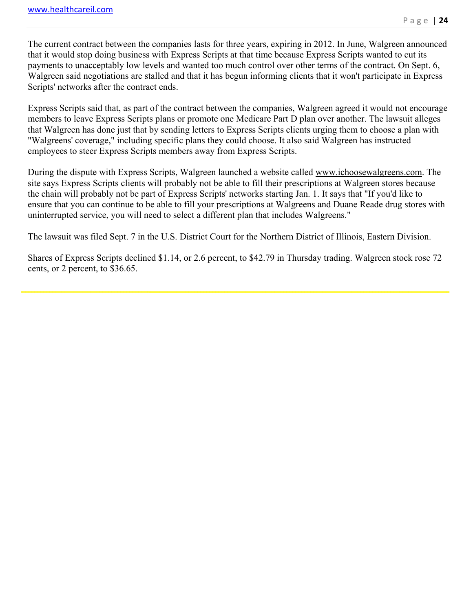The current contract between the companies lasts for three years, expiring in 2012. In June, Walgreen announced that it would stop doing business with Express Scripts at that time because Express Scripts wanted to cut its payments to unacceptably low levels and wanted too much control over other terms of the contract. On Sept. 6, Walgreen said negotiations are stalled and that it has begun informing clients that it won't participate in Express Scripts' networks after the contract ends.

Express Scripts said that, as part of the contract between the companies, Walgreen agreed it would not encourage members to leave Express Scripts plans or promote one Medicare Part D plan over another. The lawsuit alleges that Walgreen has done just that by sending letters to Express Scripts clients urging them to choose a plan with "Walgreens' coverage," including specific plans they could choose. It also said Walgreen has instructed employees to steer Express Scripts members away from Express Scripts.

During the dispute with Express Scripts, Walgreen launched a website called www.ichoosewalgreens.com. The site says Express Scripts clients will probably not be able to fill their prescriptions at Walgreen stores because the chain will probably not be part of Express Scripts' networks starting Jan. 1. It says that "If you'd like to ensure that you can continue to be able to fill your prescriptions at Walgreens and Duane Reade drug stores with uninterrupted service, you will need to select a different plan that includes Walgreens."

The lawsuit was filed Sept. 7 in the U.S. District Court for the Northern District of Illinois, Eastern Division.

Shares of Express Scripts declined \$1.14, or 2.6 percent, to \$42.79 in Thursday trading. Walgreen stock rose 72 cents, or 2 percent, to \$36.65.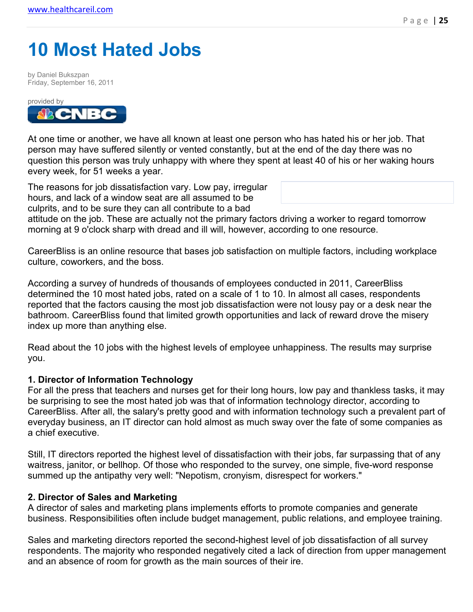# **10 Most Hated Jobs**

by Daniel Bukszpan Friday, September 16, 2011



At one time or another, we have all known at least one person who has hated his or her job. That person may have suffered silently or vented constantly, but at the end of the day there was no question this person was truly unhappy with where they spent at least 40 of his or her waking hours every week, for 51 weeks a year.

The reasons for job dissatisfaction vary. Low pay, irregular hours, and lack of a window seat are all assumed to be culprits, and to be sure they can all contribute to a bad

attitude on the job. These are actually not the primary factors driving a worker to regard tomorrow morning at 9 o'clock sharp with dread and ill will, however, according to one resource.

CareerBliss is an online resource that bases job satisfaction on multiple factors, including workplace culture, coworkers, and the boss.

According a survey of hundreds of thousands of employees conducted in 2011, CareerBliss determined the 10 most hated jobs, rated on a scale of 1 to 10. In almost all cases, respondents reported that the factors causing the most job dissatisfaction were not lousy pay or a desk near the bathroom. CareerBliss found that limited growth opportunities and lack of reward drove the misery index up more than anything else.

Read about the 10 jobs with the highest levels of employee unhappiness. The results may surprise you.

### **1. Director of Information Technology**

For all the press that teachers and nurses get for their long hours, low pay and thankless tasks, it may be surprising to see the most hated job was that of information technology director, according to CareerBliss. After all, the salary's pretty good and with information technology such a prevalent part of everyday business, an IT director can hold almost as much sway over the fate of some companies as a chief executive.

Still, IT directors reported the highest level of dissatisfaction with their jobs, far surpassing that of any waitress, janitor, or bellhop. Of those who responded to the survey, one simple, five-word response summed up the antipathy very well: "Nepotism, cronyism, disrespect for workers."

### **2. Director of Sales and Marketing**

A director of sales and marketing plans implements efforts to promote companies and generate business. Responsibilities often include budget management, public relations, and employee training.

Sales and marketing directors reported the second-highest level of job dissatisfaction of all survey respondents. The majority who responded negatively cited a lack of direction from upper management and an absence of room for growth as the main sources of their ire.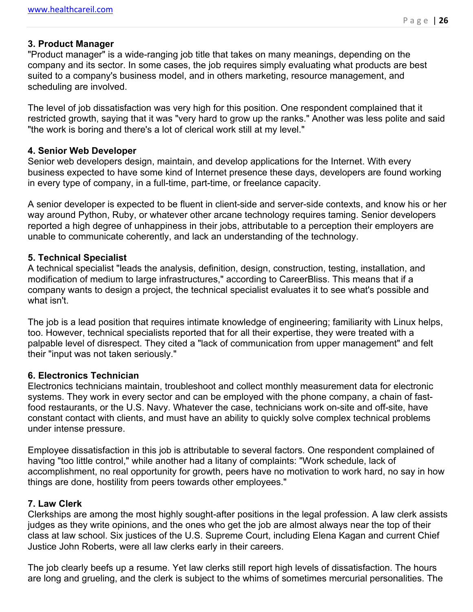### **3. Product Manager**

"Product manager" is a wide-ranging job title that takes on many meanings, depending on the company and its sector. In some cases, the job requires simply evaluating what products are best suited to a company's business model, and in others marketing, resource management, and scheduling are involved.

The level of job dissatisfaction was very high for this position. One respondent complained that it restricted growth, saying that it was "very hard to grow up the ranks." Another was less polite and said "the work is boring and there's a lot of clerical work still at my level."

### **4. Senior Web Developer**

Senior web developers design, maintain, and develop applications for the Internet. With every business expected to have some kind of Internet presence these days, developers are found working in every type of company, in a full-time, part-time, or freelance capacity.

A senior developer is expected to be fluent in client-side and server-side contexts, and know his or her way around Python, Ruby, or whatever other arcane technology requires taming. Senior developers reported a high degree of unhappiness in their jobs, attributable to a perception their employers are unable to communicate coherently, and lack an understanding of the technology.

### **5. Technical Specialist**

A technical specialist "leads the analysis, definition, design, construction, testing, installation, and modification of medium to large infrastructures," according to CareerBliss. This means that if a company wants to design a project, the technical specialist evaluates it to see what's possible and what isn't.

The job is a lead position that requires intimate knowledge of engineering; familiarity with Linux helps, too. However, technical specialists reported that for all their expertise, they were treated with a palpable level of disrespect. They cited a "lack of communication from upper management" and felt their "input was not taken seriously."

### **6. Electronics Technician**

Electronics technicians maintain, troubleshoot and collect monthly measurement data for electronic systems. They work in every sector and can be employed with the phone company, a chain of fastfood restaurants, or the U.S. Navy. Whatever the case, technicians work on-site and off-site, have constant contact with clients, and must have an ability to quickly solve complex technical problems under intense pressure.

Employee dissatisfaction in this job is attributable to several factors. One respondent complained of having "too little control," while another had a litany of complaints: "Work schedule, lack of accomplishment, no real opportunity for growth, peers have no motivation to work hard, no say in how things are done, hostility from peers towards other employees."

### **7. Law Clerk**

Clerkships are among the most highly sought-after positions in the legal profession. A law clerk assists judges as they write opinions, and the ones who get the job are almost always near the top of their class at law school. Six justices of the U.S. Supreme Court, including Elena Kagan and current Chief Justice John Roberts, were all law clerks early in their careers.

The job clearly beefs up a resume. Yet law clerks still report high levels of dissatisfaction. The hours are long and grueling, and the clerk is subject to the whims of sometimes mercurial personalities. The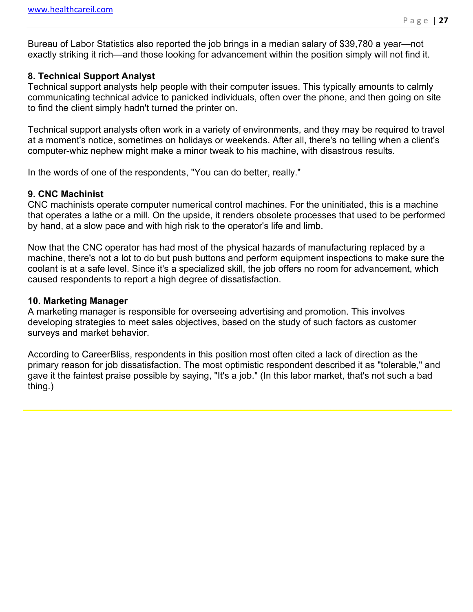Bureau of Labor Statistics also reported the job brings in a median salary of \$39,780 a year—not exactly striking it rich—and those looking for advancement within the position simply will not find it.

### **8. Technical Support Analyst**

Technical support analysts help people with their computer issues. This typically amounts to calmly communicating technical advice to panicked individuals, often over the phone, and then going on site to find the client simply hadn't turned the printer on.

Technical support analysts often work in a variety of environments, and they may be required to travel at a moment's notice, sometimes on holidays or weekends. After all, there's no telling when a client's computer-whiz nephew might make a minor tweak to his machine, with disastrous results.

In the words of one of the respondents, "You can do better, really."

### **9. CNC Machinist**

CNC machinists operate computer numerical control machines. For the uninitiated, this is a machine that operates a lathe or a mill. On the upside, it renders obsolete processes that used to be performed by hand, at a slow pace and with high risk to the operator's life and limb.

Now that the CNC operator has had most of the physical hazards of manufacturing replaced by a machine, there's not a lot to do but push buttons and perform equipment inspections to make sure the coolant is at a safe level. Since it's a specialized skill, the job offers no room for advancement, which caused respondents to report a high degree of dissatisfaction.

### **10. Marketing Manager**

A marketing manager is responsible for overseeing advertising and promotion. This involves developing strategies to meet sales objectives, based on the study of such factors as customer surveys and market behavior.

According to CareerBliss, respondents in this position most often cited a lack of direction as the primary reason for job dissatisfaction. The most optimistic respondent described it as "tolerable," and gave it the faintest praise possible by saying, "It's a job." (In this labor market, that's not such a bad thing.)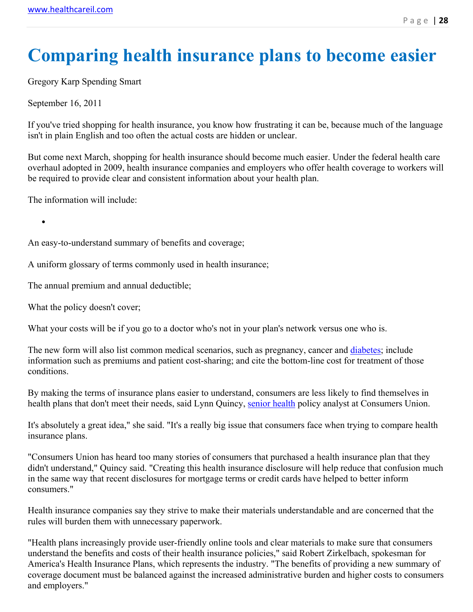# **Comparing health insurance plans to become easier**

Gregory Karp Spending Smart

September 16, 2011

If you've tried shopping for health insurance, you know how frustrating it can be, because much of the language isn't in plain English and too often the actual costs are hidden or unclear.

But come next March, shopping for health insurance should become much easier. Under the federal health care overhaul adopted in 2009, health insurance companies and employers who offer health coverage to workers will be required to provide clear and consistent information about your health plan.

The information will include:

•

An easy-to-understand summary of benefits and coverage;

A uniform glossary of terms commonly used in health insurance;

The annual premium and annual deductible;

What the policy doesn't cover;

What your costs will be if you go to a doctor who's not in your plan's network versus one who is.

The new form will also list common medical scenarios, such as pregnancy, cancer and diabetes; include information such as premiums and patient cost-sharing; and cite the bottom-line cost for treatment of those conditions.

By making the terms of insurance plans easier to understand, consumers are less likely to find themselves in health plans that don't meet their needs, said Lynn Quincy, senior health policy analyst at Consumers Union.

It's absolutely a great idea," she said. "It's a really big issue that consumers face when trying to compare health insurance plans.

"Consumers Union has heard too many stories of consumers that purchased a health insurance plan that they didn't understand," Quincy said. "Creating this health insurance disclosure will help reduce that confusion much in the same way that recent disclosures for mortgage terms or credit cards have helped to better inform consumers."

Health insurance companies say they strive to make their materials understandable and are concerned that the rules will burden them with unnecessary paperwork.

"Health plans increasingly provide user-friendly online tools and clear materials to make sure that consumers understand the benefits and costs of their health insurance policies," said Robert Zirkelbach, spokesman for America's Health Insurance Plans, which represents the industry. "The benefits of providing a new summary of coverage document must be balanced against the increased administrative burden and higher costs to consumers and employers."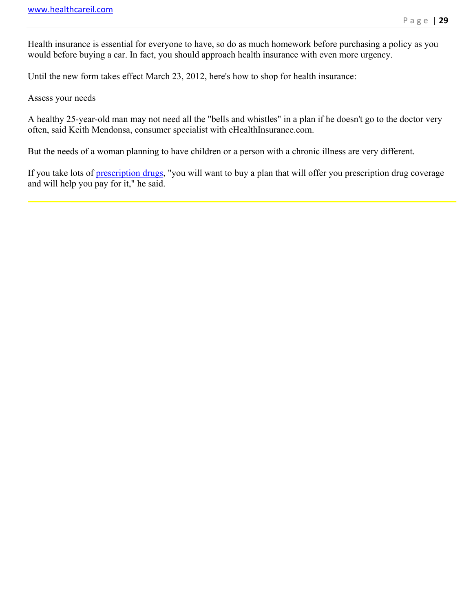Health insurance is essential for everyone to have, so do as much homework before purchasing a policy as you would before buying a car. In fact, you should approach health insurance with even more urgency.

Until the new form takes effect March 23, 2012, here's how to shop for health insurance:

Assess your needs

A healthy 25-year-old man may not need all the "bells and whistles" in a plan if he doesn't go to the doctor very often, said Keith Mendonsa, consumer specialist with eHealthInsurance.com.

But the needs of a woman planning to have children or a person with a chronic illness are very different.

If you take lots of prescription drugs, "you will want to buy a plan that will offer you prescription drug coverage and will help you pay for it," he said.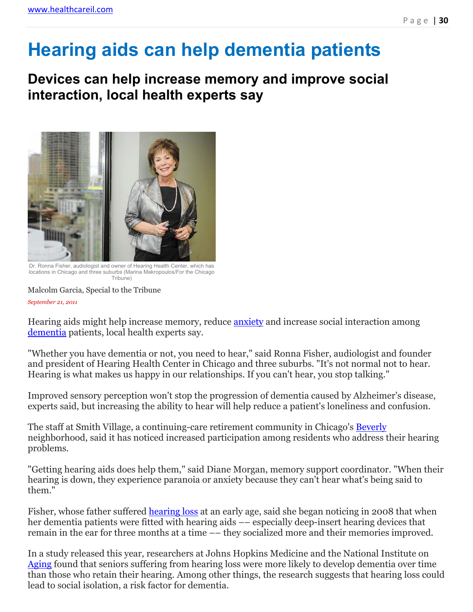# **Hearing aids can help dementia patients**

### **Devices can help increase memory and improve social interaction, local health experts say**



Dr. Ronna Fisher, audiologist and owner of Hearing Health Center, which has locations in Chicago and three suburbs (Marina Makropoulos/For the Chicago Tribune)

Malcolm Garcia, Special to the Tribune

*September 21, 2011* 

Hearing aids might help increase memory, reduce **anxiety** and increase social interaction among dementia patients, local health experts say.

"Whether you have dementia or not, you need to hear," said Ronna Fisher, audiologist and founder and president of Hearing Health Center in Chicago and three suburbs. "It's not normal not to hear. Hearing is what makes us happy in our relationships. If you can't hear, you stop talking."

Improved sensory perception won't stop the progression of dementia caused by Alzheimer's disease, experts said, but increasing the ability to hear will help reduce a patient's loneliness and confusion.

The staff at Smith Village, a continuing-care retirement community in Chicago's Beverly neighborhood, said it has noticed increased participation among residents who address their hearing problems.

"Getting hearing aids does help them," said Diane Morgan, memory support coordinator. "When their hearing is down, they experience paranoia or anxiety because they can't hear what's being said to them."

Fisher, whose father suffered hearing loss at an early age, said she began noticing in 2008 that when her dementia patients were fitted with hearing aids  $-$  especially deep-insert hearing devices that remain in the ear for three months at a time –– they socialized more and their memories improved.

In a study released this year, researchers at Johns Hopkins Medicine and the National Institute on Aging found that seniors suffering from hearing loss were more likely to develop dementia over time than those who retain their hearing. Among other things, the research suggests that hearing loss could lead to social isolation, a risk factor for dementia.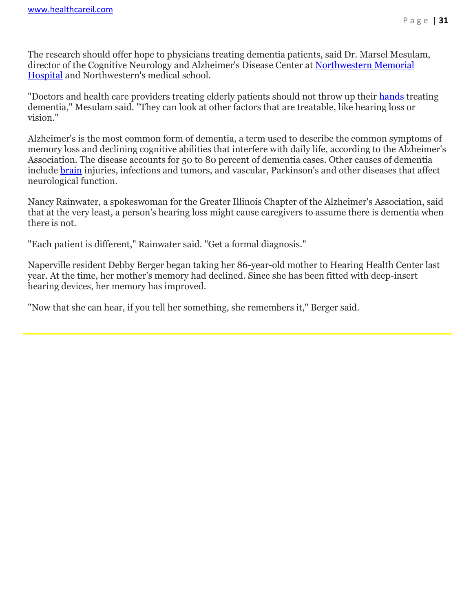The research should offer hope to physicians treating dementia patients, said Dr. Marsel Mesulam, director of the Cognitive Neurology and Alzheimer's Disease Center at Northwestern Memorial Hospital and Northwestern's medical school.

"Doctors and health care providers treating elderly patients should not throw up their hands treating dementia," Mesulam said. "They can look at other factors that are treatable, like hearing loss or vision."

Alzheimer's is the most common form of dementia, a term used to describe the common symptoms of memory loss and declining cognitive abilities that interfere with daily life, according to the Alzheimer's Association. The disease accounts for 50 to 80 percent of dementia cases. Other causes of dementia include brain injuries, infections and tumors, and vascular, Parkinson's and other diseases that affect neurological function.

Nancy Rainwater, a spokeswoman for the Greater Illinois Chapter of the Alzheimer's Association, said that at the very least, a person's hearing loss might cause caregivers to assume there is dementia when there is not.

"Each patient is different," Rainwater said. "Get a formal diagnosis."

Naperville resident Debby Berger began taking her 86-year-old mother to Hearing Health Center last year. At the time, her mother's memory had declined. Since she has been fitted with deep-insert hearing devices, her memory has improved.

"Now that she can hear, if you tell her something, she remembers it," Berger said.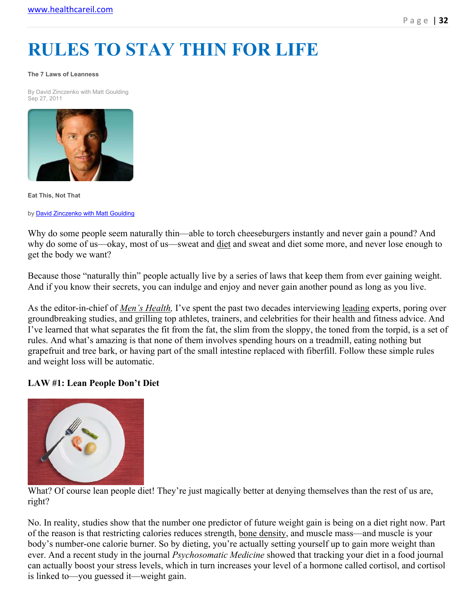# **RULES TO STAY THIN FOR LIFE**

#### **The 7 Laws of Leanness**

By David Zinczenko with Matt Goulding Sep 27, 2011



**Eat This, Not That** 

by **David Zinczenko with Matt Goulding** 

Why do some people seem naturally thin—able to torch cheeseburgers instantly and never gain a pound? And why do some of us—okay, most of us—sweat and diet and sweat and diet some more, and never lose enough to get the body we want?

Because those "naturally thin" people actually live by a series of laws that keep them from ever gaining weight. And if you know their secrets, you can indulge and enjoy and never gain another pound as long as you live.

As the editor-in-chief of *Men's Health,* I've spent the past two decades interviewing leading experts, poring over groundbreaking studies, and grilling top athletes, trainers, and celebrities for their health and fitness advice. And I've learned that what separates the fit from the fat, the slim from the sloppy, the toned from the torpid, is a set of rules. And what's amazing is that none of them involves spending hours on a treadmill, eating nothing but grapefruit and tree bark, or having part of the small intestine replaced with fiberfill. Follow these simple rules and weight loss will be automatic.

### **LAW #1: Lean People Don't Diet**



What? Of course lean people diet! They're just magically better at denying themselves than the rest of us are, right?

No. In reality, studies show that the number one predictor of future weight gain is being on a diet right now. Part of the reason is that restricting calories reduces strength, bone density, and muscle mass—and muscle is your body's number-one calorie burner. So by dieting, you're actually setting yourself up to gain more weight than ever. And a recent study in the journal *Psychosomatic Medicine* showed that tracking your diet in a food journal can actually boost your stress levels, which in turn increases your level of a hormone called cortisol, and cortisol is linked to—you guessed it—weight gain.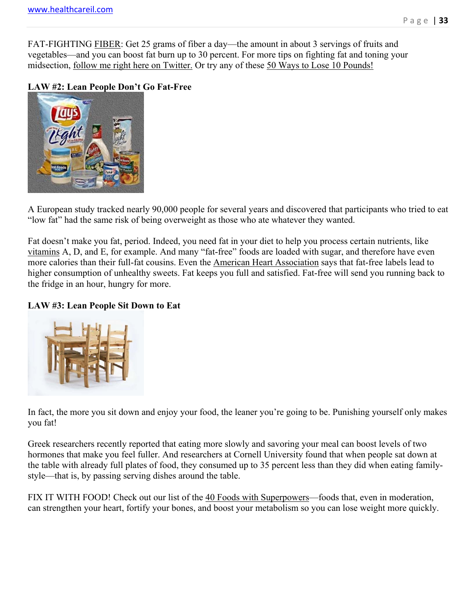FAT-FIGHTING FIBER: Get 25 grams of fiber a day—the amount in about 3 servings of fruits and vegetables—and you can boost fat burn up to 30 percent. For more tips on fighting fat and toning your midsection, follow me right here on Twitter. Or try any of these 50 Ways to Lose 10 Pounds!

**LAW #2: Lean People Don't Go Fat-Free** 



A European study tracked nearly 90,000 people for several years and discovered that participants who tried to eat "low fat" had the same risk of being overweight as those who ate whatever they wanted.

Fat doesn't make you fat, period. Indeed, you need fat in your diet to help you process certain nutrients, like vitamins A, D, and E, for example. And many "fat-free" foods are loaded with sugar, and therefore have even more calories than their full-fat cousins. Even the American Heart Association says that fat-free labels lead to higher consumption of unhealthy sweets. Fat keeps you full and satisfied. Fat-free will send you running back to the fridge in an hour, hungry for more.

### **LAW #3: Lean People Sit Down to Eat**



In fact, the more you sit down and enjoy your food, the leaner you're going to be. Punishing yourself only makes you fat!

Greek researchers recently reported that eating more slowly and savoring your meal can boost levels of two hormones that make you feel fuller. And researchers at Cornell University found that when people sat down at the table with already full plates of food, they consumed up to 35 percent less than they did when eating familystyle—that is, by passing serving dishes around the table.

FIX IT WITH FOOD! Check out our list of the 40 Foods with Superpowers—foods that, even in moderation, can strengthen your heart, fortify your bones, and boost your metabolism so you can lose weight more quickly.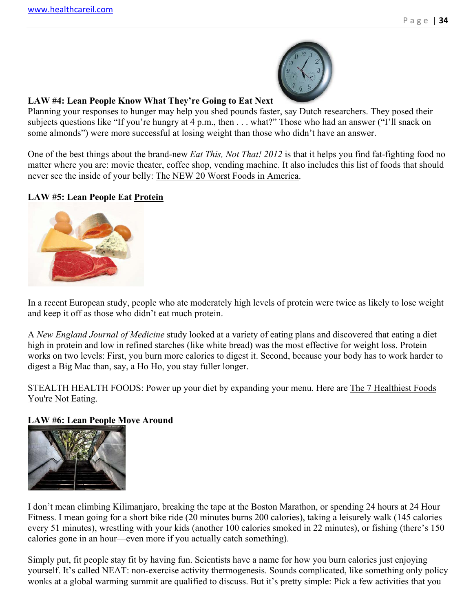

### **LAW #4: Lean People Know What They're Going to Eat Next**

Planning your responses to hunger may help you shed pounds faster, say Dutch researchers. They posed their subjects questions like "If you're hungry at 4 p.m., then . . . what?" Those who had an answer ("I'll snack on some almonds") were more successful at losing weight than those who didn't have an answer.

One of the best things about the brand-new *Eat This, Not That! 2012* is that it helps you find fat-fighting food no matter where you are: movie theater, coffee shop, vending machine. It also includes this list of foods that should never see the inside of your belly: The NEW 20 Worst Foods in America.

### **LAW #5: Lean People Eat Protein**



In a recent European study, people who ate moderately high levels of protein were twice as likely to lose weight and keep it off as those who didn't eat much protein.

A *New England Journal of Medicine* study looked at a variety of eating plans and discovered that eating a diet high in protein and low in refined starches (like white bread) was the most effective for weight loss. Protein works on two levels: First, you burn more calories to digest it. Second, because your body has to work harder to digest a Big Mac than, say, a Ho Ho, you stay fuller longer.

STEALTH HEALTH FOODS: Power up your diet by expanding your menu. Here are The 7 Healthiest Foods You're Not Eating.

### **LAW #6: Lean People Move Around**



I don't mean climbing Kilimanjaro, breaking the tape at the Boston Marathon, or spending 24 hours at 24 Hour Fitness. I mean going for a short bike ride (20 minutes burns 200 calories), taking a leisurely walk (145 calories every 51 minutes), wrestling with your kids (another 100 calories smoked in 22 minutes), or fishing (there's 150 calories gone in an hour—even more if you actually catch something).

Simply put, fit people stay fit by having fun. Scientists have a name for how you burn calories just enjoying yourself. It's called NEAT: non-exercise activity thermogenesis. Sounds complicated, like something only policy wonks at a global warming summit are qualified to discuss. But it's pretty simple: Pick a few activities that you